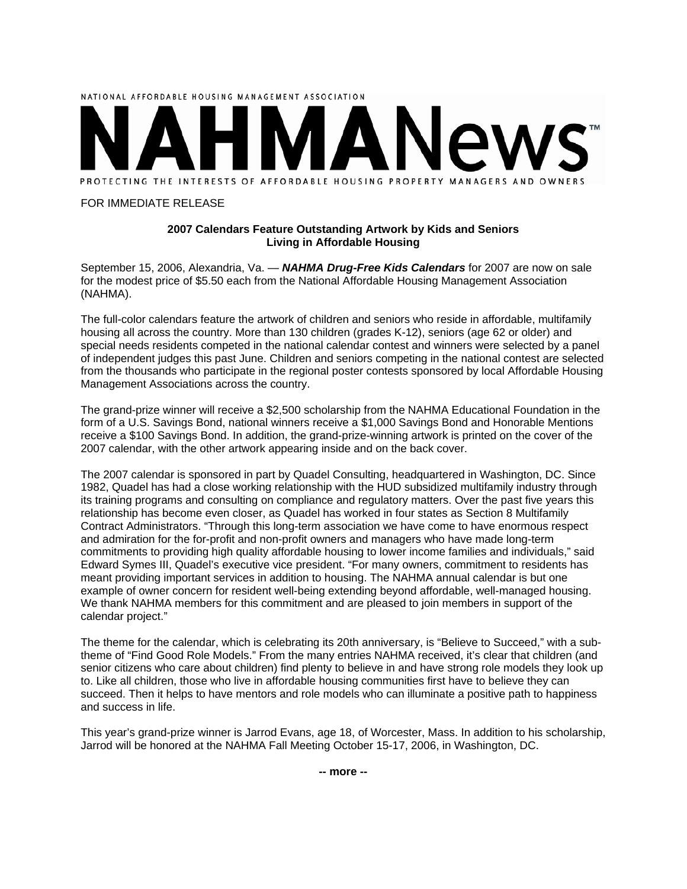

#### FOR IMMEDIATE RELEASE

### **2007 Calendars Feature Outstanding Artwork by Kids and Seniors Living in Affordable Housing**

September 15, 2006, Alexandria, Va. — *NAHMA Drug-Free Kids Calendars* for 2007 are now on sale for the modest price of \$5.50 each from the National Affordable Housing Management Association (NAHMA).

The full-color calendars feature the artwork of children and seniors who reside in affordable, multifamily housing all across the country. More than 130 children (grades K-12), seniors (age 62 or older) and special needs residents competed in the national calendar contest and winners were selected by a panel of independent judges this past June. Children and seniors competing in the national contest are selected from the thousands who participate in the regional poster contests sponsored by local Affordable Housing Management Associations across the country.

The grand-prize winner will receive a \$2,500 scholarship from the NAHMA Educational Foundation in the form of a U.S. Savings Bond, national winners receive a \$1,000 Savings Bond and Honorable Mentions receive a \$100 Savings Bond. In addition, the grand-prize-winning artwork is printed on the cover of the 2007 calendar, with the other artwork appearing inside and on the back cover.

The 2007 calendar is sponsored in part by Quadel Consulting, headquartered in Washington, DC. Since 1982, Quadel has had a close working relationship with the HUD subsidized multifamily industry through its training programs and consulting on compliance and regulatory matters. Over the past five years this relationship has become even closer, as Quadel has worked in four states as Section 8 Multifamily Contract Administrators. "Through this long-term association we have come to have enormous respect and admiration for the for-profit and non-profit owners and managers who have made long-term commitments to providing high quality affordable housing to lower income families and individuals," said Edward Symes III, Quadel's executive vice president. "For many owners, commitment to residents has meant providing important services in addition to housing. The NAHMA annual calendar is but one example of owner concern for resident well-being extending beyond affordable, well-managed housing. We thank NAHMA members for this commitment and are pleased to join members in support of the calendar project."

The theme for the calendar, which is celebrating its 20th anniversary, is "Believe to Succeed," with a subtheme of "Find Good Role Models." From the many entries NAHMA received, it's clear that children (and senior citizens who care about children) find plenty to believe in and have strong role models they look up to. Like all children, those who live in affordable housing communities first have to believe they can succeed. Then it helps to have mentors and role models who can illuminate a positive path to happiness and success in life.

This year's grand-prize winner is Jarrod Evans, age 18, of Worcester, Mass. In addition to his scholarship, Jarrod will be honored at the NAHMA Fall Meeting October 15-17, 2006, in Washington, DC.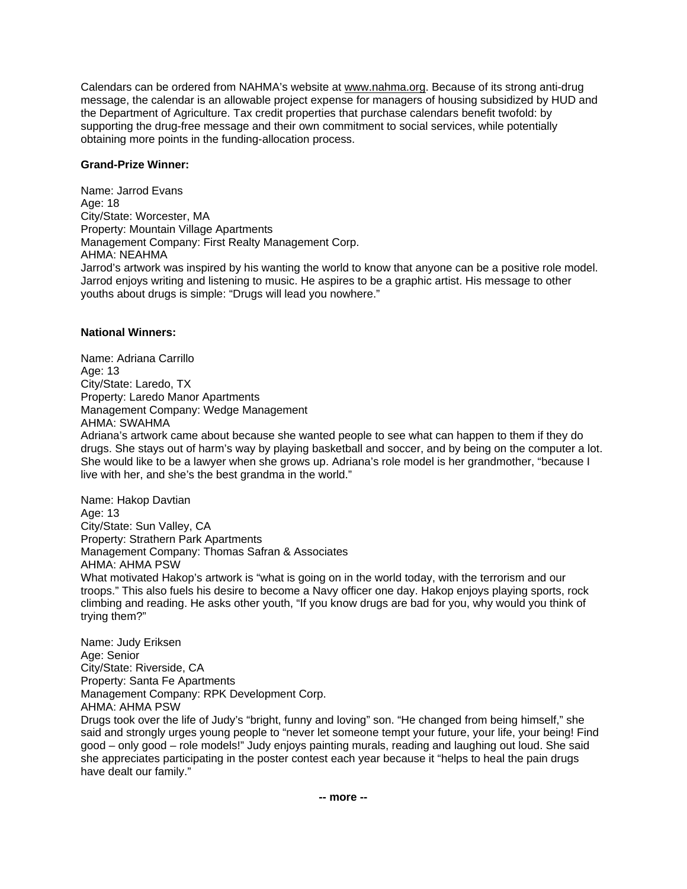Calendars can be ordered from NAHMA's website at www.nahma.org. Because of its strong anti-drug message, the calendar is an allowable project expense for managers of housing subsidized by HUD and the Department of Agriculture. Tax credit properties that purchase calendars benefit twofold: by supporting the drug-free message and their own commitment to social services, while potentially obtaining more points in the funding-allocation process.

## **Grand-Prize Winner:**

Name: Jarrod Evans Age: 18 City/State: Worcester, MA Property: Mountain Village Apartments Management Company: First Realty Management Corp. AHMA: NEAHMA Jarrod's artwork was inspired by his wanting the world to know that anyone can be a positive role model. Jarrod enjoys writing and listening to music. He aspires to be a graphic artist. His message to other youths about drugs is simple: "Drugs will lead you nowhere."

# **National Winners:**

Name: Adriana Carrillo Age: 13 City/State: Laredo, TX Property: Laredo Manor Apartments Management Company: Wedge Management AHMA: SWAHMA Adriana's artwork came about because she wanted people to see what can happen to them if they do drugs. She stays out of harm's way by playing basketball and soccer, and by being on the computer a lot. She would like to be a lawyer when she grows up. Adriana's role model is her grandmother, "because I live with her, and she's the best grandma in the world."

Name: Hakop Davtian Age: 13 City/State: Sun Valley, CA Property: Strathern Park Apartments Management Company: Thomas Safran & Associates AHMA: AHMA PSW What motivated Hakop's artwork is "what is going on in the world today, with the terrorism and our troops." This also fuels his desire to become a Navy officer one day. Hakop enjoys playing sports, rock climbing and reading. He asks other youth, "If you know drugs are bad for you, why would you think of trying them?"

Name: Judy Eriksen Age: Senior City/State: Riverside, CA Property: Santa Fe Apartments Management Company: RPK Development Corp. AHMA: AHMA PSW Drugs took over the life of Judy's "bright, funny and loving" son. "He changed from being himself," she said and strongly urges young people to "never let someone tempt your future, your life, your being! Find good – only good – role models!" Judy enjoys painting murals, reading and laughing out loud. She said she appreciates participating in the poster contest each year because it "helps to heal the pain drugs have dealt our family."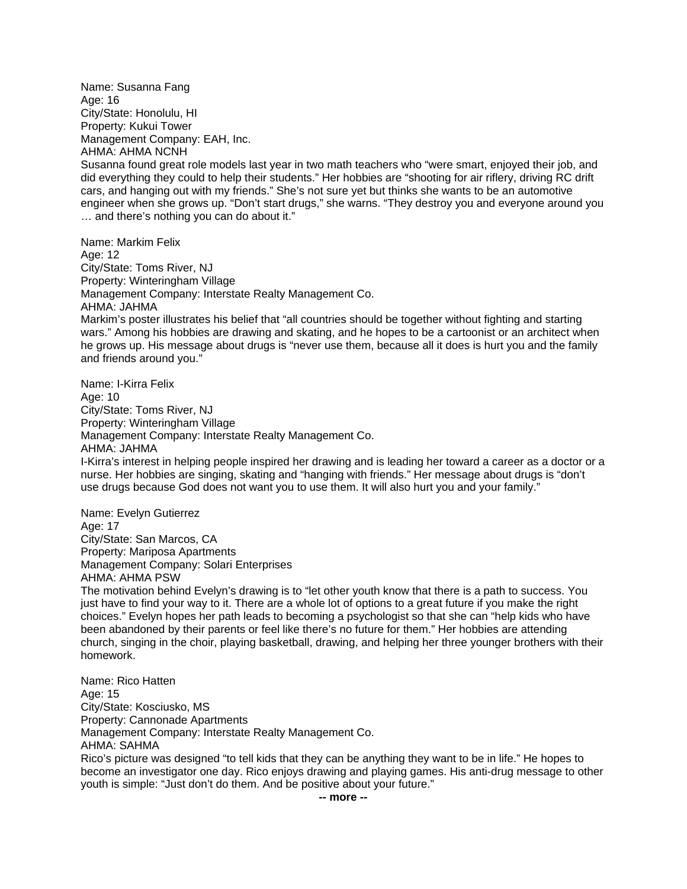Name: Susanna Fang Age: 16 City/State: Honolulu, HI Property: Kukui Tower Management Company: EAH, Inc. AHMA: AHMA NCNH Susanna found great role models last year in two math teachers who "were smart, enjoyed their job, and did everything they could to help their students." Her hobbies are "shooting for air riflery, driving RC drift cars, and hanging out with my friends." She's not sure yet but thinks she wants to be an automotive engineer when she grows up. "Don't start drugs," she warns. "They destroy you and everyone around you … and there's nothing you can do about it."

Name: Markim Felix Age: 12 City/State: Toms River, NJ Property: Winteringham Village Management Company: Interstate Realty Management Co. AHMA: JAHMA Markim's poster illustrates his belief that "all countries should be together without fighting and starting wars." Among his hobbies are drawing and skating, and he hopes to be a cartoonist or an architect when he grows up. His message about drugs is "never use them, because all it does is hurt you and the family and friends around you."

Name: I-Kirra Felix Age: 10 City/State: Toms River, NJ Property: Winteringham Village Management Company: Interstate Realty Management Co. AHMA: JAHMA I-Kirra's interest in helping people inspired her drawing and is leading her toward a career as a doctor or a nurse. Her hobbies are singing, skating and "hanging with friends." Her message about drugs is "don't use drugs because God does not want you to use them. It will also hurt you and your family."

Name: Evelyn Gutierrez Age: 17 City/State: San Marcos, CA Property: Mariposa Apartments Management Company: Solari Enterprises AHMA: AHMA PSW The motivation behind Evelyn's drawing is to "let other youth know that there is a path to success. You just have to find your way to it. There are a whole lot of options to a great future if you make the right choices." Evelyn hopes her path leads to becoming a psychologist so that she can "help kids who have been abandoned by their parents or feel like there's no future for them." Her hobbies are attending church, singing in the choir, playing basketball, drawing, and helping her three younger brothers with their homework.

Name: Rico Hatten Age: 15 City/State: Kosciusko, MS Property: Cannonade Apartments Management Company: Interstate Realty Management Co. AHMA: SAHMA

Rico's picture was designed "to tell kids that they can be anything they want to be in life." He hopes to become an investigator one day. Rico enjoys drawing and playing games. His anti-drug message to other youth is simple: "Just don't do them. And be positive about your future."

**-- more --**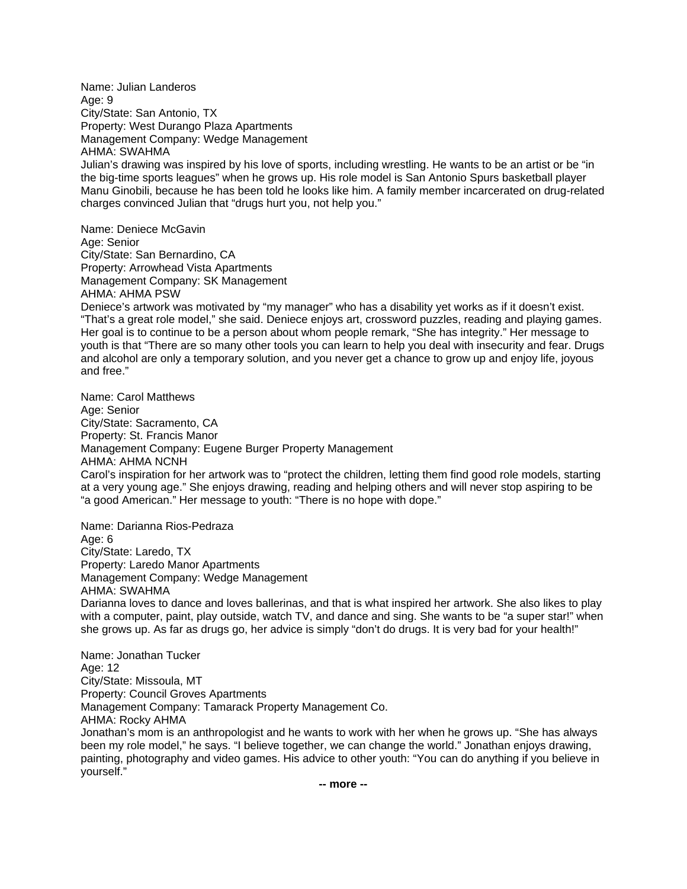Name: Julian Landeros Age: 9 City/State: San Antonio, TX Property: West Durango Plaza Apartments Management Company: Wedge Management AHMA: SWAHMA Julian's drawing was inspired by his love of sports, including wrestling. He wants to be an artist or be "in the big-time sports leagues" when he grows up. His role model is San Antonio Spurs basketball player Manu Ginobili, because he has been told he looks like him. A family member incarcerated on drug-related charges convinced Julian that "drugs hurt you, not help you."

Name: Deniece McGavin Age: Senior City/State: San Bernardino, CA Property: Arrowhead Vista Apartments Management Company: SK Management AHMA: AHMA PSW Deniece's artwork was motivated by "my manager" who has a disability yet works as if it doesn't exist. "That's a great role model," she said. Deniece enjoys art, crossword puzzles, reading and playing games. Her goal is to continue to be a person about whom people remark, "She has integrity." Her message to youth is that "There are so many other tools you can learn to help you deal with insecurity and fear. Drugs and alcohol are only a temporary solution, and you never get a chance to grow up and enjoy life, joyous and free."

Name: Carol Matthews Age: Senior City/State: Sacramento, CA Property: St. Francis Manor Management Company: Eugene Burger Property Management AHMA: AHMA NCNH Carol's inspiration for her artwork was to "protect the children, letting them find good role models, starting at a very young age." She enjoys drawing, reading and helping others and will never stop aspiring to be "a good American." Her message to youth: "There is no hope with dope."

Name: Darianna Rios-Pedraza Age: 6 City/State: Laredo, TX Property: Laredo Manor Apartments Management Company: Wedge Management AHMA: SWAHMA Darianna loves to dance and loves ballerinas, and that is what inspired her artwork. She also likes to play with a computer, paint, play outside, watch TV, and dance and sing. She wants to be "a super star!" when she grows up. As far as drugs go, her advice is simply "don't do drugs. It is very bad for your health!"

Name: Jonathan Tucker Age: 12 City/State: Missoula, MT Property: Council Groves Apartments Management Company: Tamarack Property Management Co. AHMA: Rocky AHMA Jonathan's mom is an anthropologist and he wants to work with her when he grows up. "She has always been my role model," he says. "I believe together, we can change the world." Jonathan enjoys drawing, painting, photography and video games. His advice to other youth: "You can do anything if you believe in yourself."